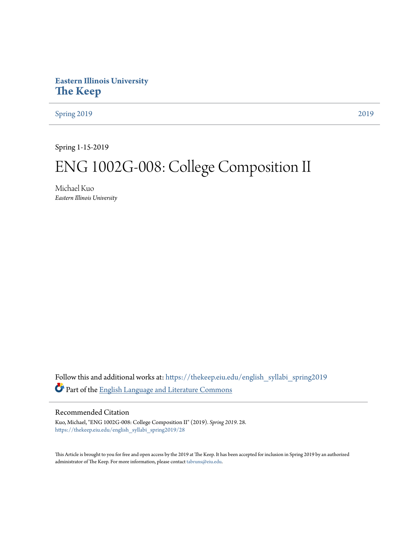# **Eastern Illinois University [The Keep](https://thekeep.eiu.edu?utm_source=thekeep.eiu.edu%2Fenglish_syllabi_spring2019%2F28&utm_medium=PDF&utm_campaign=PDFCoverPages)**

[Spring 2019](https://thekeep.eiu.edu/english_syllabi_spring2019?utm_source=thekeep.eiu.edu%2Fenglish_syllabi_spring2019%2F28&utm_medium=PDF&utm_campaign=PDFCoverPages) [2019](https://thekeep.eiu.edu/english_syllabi2019?utm_source=thekeep.eiu.edu%2Fenglish_syllabi_spring2019%2F28&utm_medium=PDF&utm_campaign=PDFCoverPages)

Spring 1-15-2019

# ENG 1002G-008: College Composition II

Michael Kuo *Eastern Illinois University*

Follow this and additional works at: [https://thekeep.eiu.edu/english\\_syllabi\\_spring2019](https://thekeep.eiu.edu/english_syllabi_spring2019?utm_source=thekeep.eiu.edu%2Fenglish_syllabi_spring2019%2F28&utm_medium=PDF&utm_campaign=PDFCoverPages) Part of the [English Language and Literature Commons](http://network.bepress.com/hgg/discipline/455?utm_source=thekeep.eiu.edu%2Fenglish_syllabi_spring2019%2F28&utm_medium=PDF&utm_campaign=PDFCoverPages)

## Recommended Citation

Kuo, Michael, "ENG 1002G-008: College Composition II" (2019). *Spring 2019*. 28. [https://thekeep.eiu.edu/english\\_syllabi\\_spring2019/28](https://thekeep.eiu.edu/english_syllabi_spring2019/28?utm_source=thekeep.eiu.edu%2Fenglish_syllabi_spring2019%2F28&utm_medium=PDF&utm_campaign=PDFCoverPages)

This Article is brought to you for free and open access by the 2019 at The Keep. It has been accepted for inclusion in Spring 2019 by an authorized administrator of The Keep. For more information, please contact [tabruns@eiu.edu.](mailto:tabruns@eiu.edu)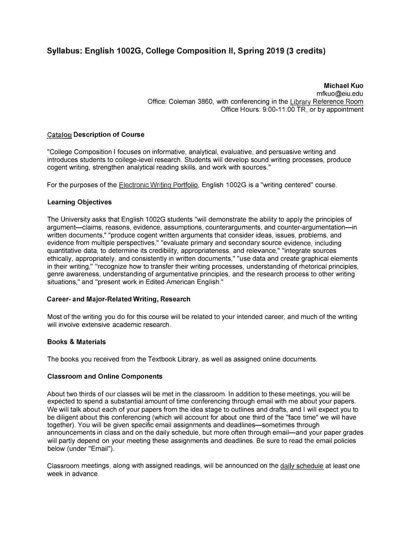# Syllabus: English 1002G, College Composition II, Spring 2019 (3 credits)

Michael Kuo mfkuo@eiu.edu Office: Coleman 3860, with conferencing in the Library Reference Room Office Hours: 9:00-11 :00 TR, or by appointment

#### Catalog Description of Course

"College Composition I focuses on informative, analytical, evaluative, and persuasive writing and introduces students to college-level research. Students will develop sound writing processes, produce cogent writing, strengthen analytical reading skills, and work with sources."

For the purposes of the Electronic Writing Portfolio, English 1002G is a "writing centered" course.

#### Learning Objectives

The University asks that English 1002G students "will demonstrate the ability to apply the principles of argument-claims, reasons, evidence, assumptions, counterarguments, and counter-argumentation-in written documents," "produce cogent written arguments that consider ideas, issues, problems, and evidence from multiple perspectives," "evaluate primary and secondary source evidence, including quantitative data, to determine its credibility, appropriateness, and relevance," "integrate sources ethically, appropriately, and consistently in written documents," "use data and create graphical elements in their writing," "recognize how to transfer their writing processes, understanding of rhetorical principles, genre awareness, understanding of argumentative principles, and the research process to other writing situations," and "present work in Edited American English."

#### Career- and Major-Related Writing, Research

Most of the writing you do for this course will be related to your intended career, and much of the writing will involve extensive academic research.

#### Books & Materials

The books you received from the Textbook Library, as well as assigned online documents.

#### Classroom and Online Components

About two thirds of our classes will be met in the classroom. In addition to these meetings, you will be expected to spend a substantial amount of time conferencing through email with me about your papers. We will talk about each of your papers from the idea stage to outlines and drafts, and I will expect you to be diligent about this conferencing (which will account for about one third of the "face time" we will have together). You will be given specific email assignments and deadlines—sometimes through announcements in class and on the daily schedule, but more often through email-and your paper grades will partly depend on your meeting these assignments and deadlines. Be sure to read the email policies below (under "Email").

Classroom meetings, along with assigned readings, will be announced on the daily schedule at least one week in advance.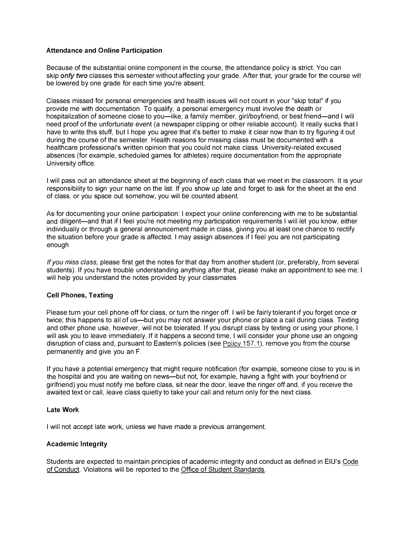#### Attendance and Online Participation

Because of the substantial online component in the course, the attendance policy is strict. You can skip only two classes this semester without affecting your grade. After that, your grade for the course will be lowered by one grade for each time you're absent.

Classes missed for personal emergencies and health issues will not count in your "skip total" if you provide me with documentation. To qualify, a personal emergency must involve the death or hospitalization of someone close to you-like, a family member, girl/boyfriend, or best friend-and I will need proof of the unfortunate event (a newspaper clipping or other reliable account). It really sucks that I have to write this stuff, but I hope you agree that it's better to make it clear now than to try figuring it out during the course of the semester. Health reasons for missing class must be documented with a healthcare professional's written opinion that you could not make class. University-related excused absences (for example, scheduled games for athletes) require documentation from the appropriate University office.

I will pass out an attendance sheet at the beginning of each class that we meet in the classroom. It is your responsibility to sign your name on the list. If you show up late and forget to ask for the sheet at the end of class, or you space out somehow, you will be counted absent.

As for documenting your online participation: I expect your online conferencing with me to be substantial and diligent—and that if I feel you're not meeting my participation requirements I will let you know, either individually or through a general announcement made in class, giving you at least one chance to rectify the situation before your grade is affected. I may assign absences if I feel you are not participating enough.

If you miss class, please first get the notes for that day from another student (or, preferably, from several students). If you have trouble understanding anything after that, please make an appointment to see me; I will help you understand the notes provided by your classmates.

#### Cell Phones, Texting

Please turn your cell phone off for class, or turn the ringer off. I will be fairly tolerant if you forget once or twice; this happens to all of us—but you may not answer your phone or place a call during class. Texting and other phone use, however, will not be tolerated. If you disrupt class by texting or using your phone, I will ask you to leave immediately. If it happens a second time, I will consider your phone use an ongoing disruption of class and, pursuant to Eastern's policies (see Policy 157.1 ), remove you from the course permanently and give you an F.

If you have a potential emergency that might require notification (for example, someone close to you is in the hospital and you are waiting on news—but not, for example, having a fight with your boyfriend or girlfriend) you must notify me before class, sit near the door, leave the ringer off and, if you receive the awaited text or call, leave class quietly to take your call and return only for the next class.

#### Late Work

I will not accept late work, unless we have made a previous arrangement.

## Academic Integrity

Students are expected to maintain principles of academic integrity and conduct as defined in EIU's Code of Conduct. Violations will be reported to the Office of Student Standards.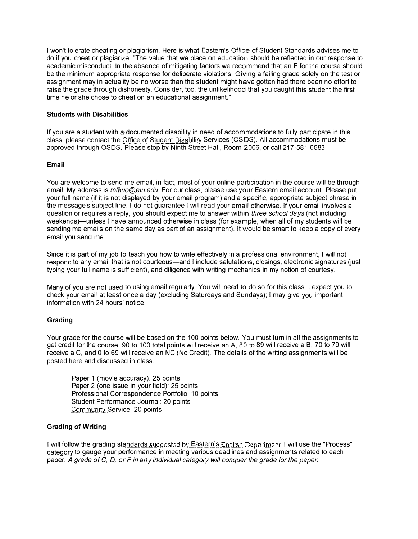I won't tolerate cheating or plagiarism. Here is what Eastern's Office of Student Standards advises me to do if you cheat or plagiarize: "The value that we place on education should be reflected in our response to academic misconduct. In the absence of mitigating factors we recommend that an F for the course should be the minimum appropriate response for deliberate violations. Giving a failing grade solely on the test or assignment may in actuality be no worse than the student might have gotten had there been no effort to raise the grade through dishonesty. Consider, too, the unlikelihood that you caught this student the first time he or she chose to cheat on an educational assignment."

#### Students with Disabilities

If you are a student with a documented disability in need of accommodations to fully participate in this class, please contact the Office of Student Disability Services (OSDS). All accommodations must be approved through OSDS. Please stop by Ninth Street Hall, Room 2006, or call 217-581-6583.

#### Email

You are welcome to send me email; in fact, most of your online participation in the course will be through email. My address is *mfkuo@eiu.edu*. For our class, please use your Eastern email account. Please put your full name (if it is not displayed by your email program) and a s pecific, appropriate subject phrase in the message's subject line. I do not guarantee I will read your email otherwise. If your email involves a question or requires a reply, you should expect me to answer within three school days (not including weekends)—unless I have announced otherwise in class (for example, when all of my students will be sending me emails on the same day as part of an assignment). It would be smart to keep a copy of every email you send me.

Since it is part of my job to teach you how to write effectively in a professional environment, I will not respond to any email that is not courteous—and I include salutations, closings, electronic signatures (just typing your full name is sufficient), and diligence with writing mechanics in my notion of courtesy.

Many of you are not used to using email regularly. You will need to do so for this class. I expect you to check your email at least once a day (excluding Saturdays and Sundays); I may give you important information with 24 hours' notice.

### Grading

Your grade for the course will be based on the 100 points below. You must turn in all the assignments to get credit for the course. 90 to 100 total points will receive an A, 80 to 89 will receive a B, 70 to 79 will receive a C, and 0 to 69 will receive an NC (No Credit). The details of the writing assignments will be posted here and discussed in class.

Paper 1 (movie accuracy): 25 points Paper 2 (one issue in your field): 25 points Professional Correspondence Portfolio: 10 points Student Performance Journal: 20 points Community Service: 20 points

#### Grading of Writing

I will follow the grading standards suggested by Eastern's English Department. I will use the "Process" category to gauge your performance in meeting various deadlines and assignments related to each paper. A grade of C, D, or F in any individual category will conquer the grade for the paper.